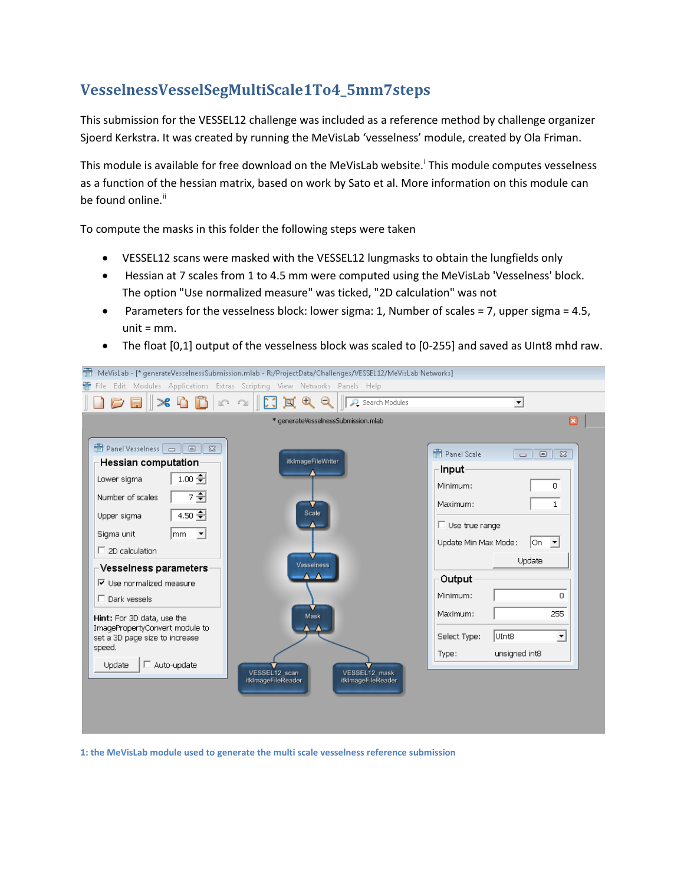## **VesselnessVesselSegMultiScale1To4\_5mm7steps**

This submission for the VESSEL12 challenge was included as a reference method by challenge organizer Sjoerd Kerkstra. It was created by running the MeVisLab 'vesselness' module, created by Ola Friman.

Th[i](#page-1-0)s module is available for free download on the MeVisLab website.<sup>i</sup> This module computes vesselness as a function of the hessian matrix, based on work by Sato et al. More information on this module can be found online.<sup>[ii](#page-1-1)</sup>

To compute the masks in this folder the following steps were taken

- VESSEL12 scans were masked with the VESSEL12 lungmasks to obtain the lungfields only
- Hessian at 7 scales from 1 to 4.5 mm were computed using the MeVisLab 'Vesselness' block. The option "Use normalized measure" was ticked, "2D calculation" was not
- Parameters for the vesselness block: lower sigma: 1, Number of scales = 7, upper sigma = 4.5, unit  $=$  mm.
- The float [0,1] output of the vesselness block was scaled to [0-255] and saved as UInt8 mhd raw.

| 瞢<br>MeVisLab - [* generateVesseInessSubmission.mlab - R:/ProjectData/Challenges/VESSEL12/MeVisLab Networks]                                                                                                                                                                                                                                                                                                                                                         |                                                                                                                                                                                                        |                                                                                                                                                                                                                                                                                                     |
|----------------------------------------------------------------------------------------------------------------------------------------------------------------------------------------------------------------------------------------------------------------------------------------------------------------------------------------------------------------------------------------------------------------------------------------------------------------------|--------------------------------------------------------------------------------------------------------------------------------------------------------------------------------------------------------|-----------------------------------------------------------------------------------------------------------------------------------------------------------------------------------------------------------------------------------------------------------------------------------------------------|
|                                                                                                                                                                                                                                                                                                                                                                                                                                                                      | File Edit Modules Applications Extras Scripting View Networks Panels Help                                                                                                                              |                                                                                                                                                                                                                                                                                                     |
| $C = \mathbb{R}$ to $R$                                                                                                                                                                                                                                                                                                                                                                                                                                              | QQ<br>ছ<br>$\underline{\mathbb{K}}^{\alpha_1}$ . Fig.<br>Search Modules                                                                                                                                | $\blacktriangledown$                                                                                                                                                                                                                                                                                |
|                                                                                                                                                                                                                                                                                                                                                                                                                                                                      | * generateVesseInessSubmission.mlab                                                                                                                                                                    | $\vert x \vert$                                                                                                                                                                                                                                                                                     |
| Panel Vesselness $\Box$<br>$\Sigma$<br>$\Box$<br>Hessian computation<br>$1.00 +$<br>Lower sigma<br>7 호<br>Number of scales<br>4.50 $\leftarrow$<br>Upper sigma<br>Sigma unit<br>$\blacktriangledown$<br>lmm.<br>$\Box$ 2D calculation<br>Vesselness parameters<br>$\nabla$ Use normalized measure<br>$\Box$ Dark vessels<br>Hint: For 3D data, use the<br>ImagePropertyConvert module to<br>set a 3D page size to increase<br>speed.<br>$\Box$ Auto-update<br>Update | itkImageFileWriter<br>Scale<br><b>Vesselness</b><br>$\mathbf{A}\mathbf{-A}$<br>Mask<br>$\blacktriangle$ $\blacktriangle$<br>VESSEL12 scan<br>VESSEL12 mask<br>itkImageFileReader<br>itkImageFileReader | Panel Scale<br>$\Sigma$<br>$\Box$<br>$\Box$<br><b>Input</b><br>Minimum:<br>0<br>Maximum:<br>1<br>$\Box$ Use true range<br>Update Min Max Mode:<br>lOn.<br>╶╶<br>Update<br>Output<br>Minimum:<br>n.<br>255<br>Maximum:<br>UInt8<br>$\overline{\mathbf{r}}$<br>Select Type:<br>unsigned int8<br>Type: |

**1: the MeVisLab module used to generate the multi scale vesselness reference submission**